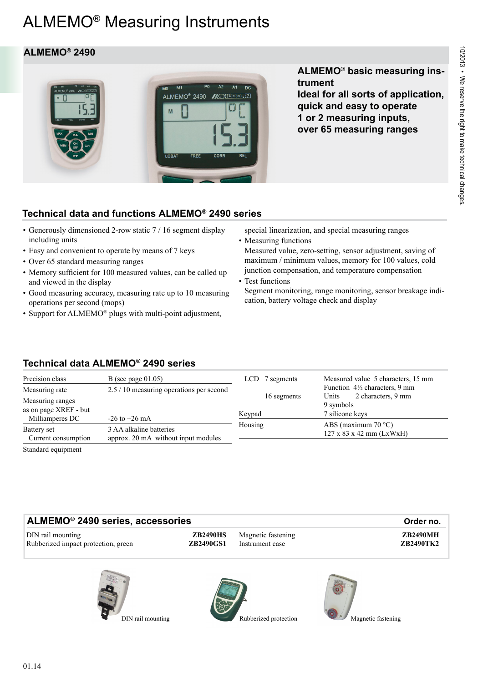# ALMEMO® Measuring Instruments

# **ALMEMO® 2490**



**ALMEMO® basic measuring instrument Ideal for all sorts of application, quick and easy to operate 1 or 2 measuring inputs, over 65 measuring ranges**

# **Technical data and functions ALMEMO® 2490 series**

- Generously dimensioned 2-row static 7 / 16 segment display including units
- Easy and convenient to operate by means of 7 keys
- Over 65 standard measuring ranges
- Memory sufficient for 100 measured values, can be called up and viewed in the display
- Good measuring accuracy, measuring rate up to 10 measuring operations per second (mops)
- Support for ALMEMO® plugs with multi-point adjustment,

special linearization, and special measuring ranges

• Measuring functions Measured value, zero-setting, sensor adjustment, saving of maximum / minimum values, memory for 100 values, cold junction compensation, and temperature compensation

• Test functions

Segment monitoring, range monitoring, sensor breakage indication, battery voltage check and display

# **Technical data ALMEMO® 2490 series**

| Precision class                                                                                                                    | B (see page $01.05$ )                                                               | 7 segments<br>LCD.    | Measured value 5 characters, 15 mm                                     |  |
|------------------------------------------------------------------------------------------------------------------------------------|-------------------------------------------------------------------------------------|-----------------------|------------------------------------------------------------------------|--|
| Measuring rate                                                                                                                     | 2.5 / 10 measuring operations per second                                            |                       | Function $4\frac{1}{2}$ characters, 9 mm                               |  |
| Measuring ranges<br>as on page XREF - but                                                                                          | $-26$ to $+26$ mA<br>3 AA alkaline batteries<br>approx. 20 mA without input modules | 16 segments<br>Keypad | 2 characters, 9 mm<br>Units<br>9 symbols<br>7 silicone keys            |  |
| Milliamperes DC<br>Battery set                                                                                                     |                                                                                     | Housing               | ABS (maximum $70 °C$ )<br>$127 \times 83 \times 42 \text{ mm}$ (LxWxH) |  |
| Current consumption<br>$\alpha$ , $\alpha$ , $\alpha$ , $\alpha$ , $\alpha$ , $\alpha$ , $\alpha$ , $\alpha$ , $\alpha$ , $\alpha$ |                                                                                     |                       |                                                                        |  |

Standard equipment

| ALMEMO <sup>®</sup> 2490 series, accessories             | Order no.                           |                                       |  |                                     |
|----------------------------------------------------------|-------------------------------------|---------------------------------------|--|-------------------------------------|
| DIN rail mounting<br>Rubberized impact protection, green | <b>ZB2490HS</b><br><b>ZB2490GS1</b> | Magnetic fastening<br>Instrument case |  | <b>ZB2490MH</b><br><b>ZB2490TK2</b> |
|                                                          |                                     |                                       |  |                                     |







DIN rail mounting Rubberized protection Magnetic fastening